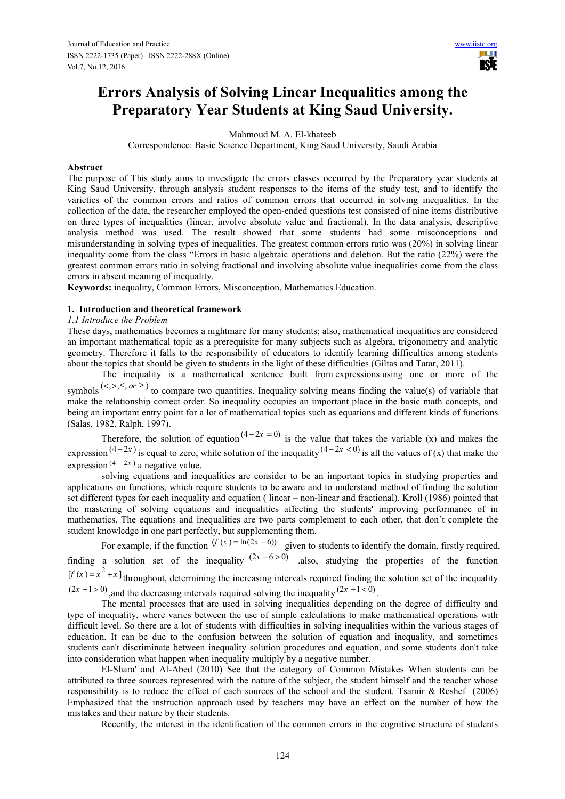# **Errors Analysis of Solving Linear Inequalities among the Preparatory Year Students at King Saud University.**

Mahmoud M. A. El-khateeb

Correspondence: Basic Science Department, King Saud University, Saudi Arabia

#### **Abstract**

The purpose of This study aims to investigate the errors classes occurred by the Preparatory year students at King Saud University, through analysis student responses to the items of the study test, and to identify the varieties of the common errors and ratios of common errors that occurred in solving inequalities. In the collection of the data, the researcher employed the open-ended questions test consisted of nine items distributive on three types of inequalities (linear, involve absolute value and fractional). In the data analysis, descriptive analysis method was used. The result showed that some students had some misconceptions and misunderstanding in solving types of inequalities. The greatest common errors ratio was (20%) in solving linear inequality come from the class "Errors in basic algebraic operations and deletion. But the ratio (22%) were the greatest common errors ratio in solving fractional and involving absolute value inequalities come from the class errors in absent meaning of inequality.

**Keywords:** inequality, Common Errors, Misconception, Mathematics Education.

## **1. Introduction and theoretical framework**

## *1.1 Introduce the Problem*

These days, mathematics becomes a nightmare for many students; also, mathematical inequalities are considered an important mathematical topic as a prerequisite for many subjects such as algebra, trigonometry and analytic geometry. Therefore it falls to the responsibility of educators to identify learning difficulties among students about the topics that should be given to students in the light of these difficulties (Giltas and Tatar, 2011).

The inequality is a mathematical sentence built from expressions using one or more of the symbols<sup>( $\langle \langle , \rangle, \leq$ ,  $\sigma$   $\geq$ ) to compare two quantities. Inequality solving means finding the value(s) of variable that</sup>

make the relationship correct order. So inequality occupies an important place in the basic math concepts, and being an important entry point for a lot of mathematical topics such as equations and different kinds of functions (Salas, 1982, Ralph, 1997).

Therefore, the solution of equation  $(4 - 2x = 0)$  is the value that takes the variable (x) and makes the expression  $(4-2x)$  is equal to zero, while solution of the inequality  $(4-2x < 0)$  is all the values of (x) that make the expression  $(4 - 2x)$  a negative value.

solving equations and inequalities are consider to be an important topics in studying properties and applications on functions, which require students to be aware and to understand method of finding the solution set different types for each inequality and equation ( linear – non-linear and fractional). Kroll (1986) pointed that the mastering of solving equations and inequalities affecting the students' improving performance of in mathematics. The equations and inequalities are two parts complement to each other, that don't complete the student knowledge in one part perfectly, but supplementing them.

For example, if the function  $(f(x) = \ln(2x - 6))$  given to students to identify the domain, firstly required, finding a solution set of the inequality  $(2x - 6 > 0)$  also, studying the properties of the function  $[f(x) = x^2 + x]$  throughout, determining the increasing intervals required finding the solution set of the inequality  $(2x + 1 > 0)$ , and the decreasing intervals required solving the inequality  $(2x + 1 < 0)$ .

The mental processes that are used in solving inequalities depending on the degree of difficulty and type of inequality, where varies between the use of simple calculations to make mathematical operations with difficult level. So there are a lot of students with difficulties in solving inequalities within the various stages of education. It can be due to the confusion between the solution of equation and inequality, and sometimes students can't discriminate between inequality solution procedures and equation, and some students don't take into consideration what happen when inequality multiply by a negative number.

El-Shara' and Al-Abed (2010) See that the category of Common Mistakes When students can be attributed to three sources represented with the nature of the subject, the student himself and the teacher whose responsibility is to reduce the effect of each sources of the school and the student. Tsamir & Reshef (2006) Emphasized that the instruction approach used by teachers may have an effect on the number of how the mistakes and their nature by their students.

Recently, the interest in the identification of the common errors in the cognitive structure of students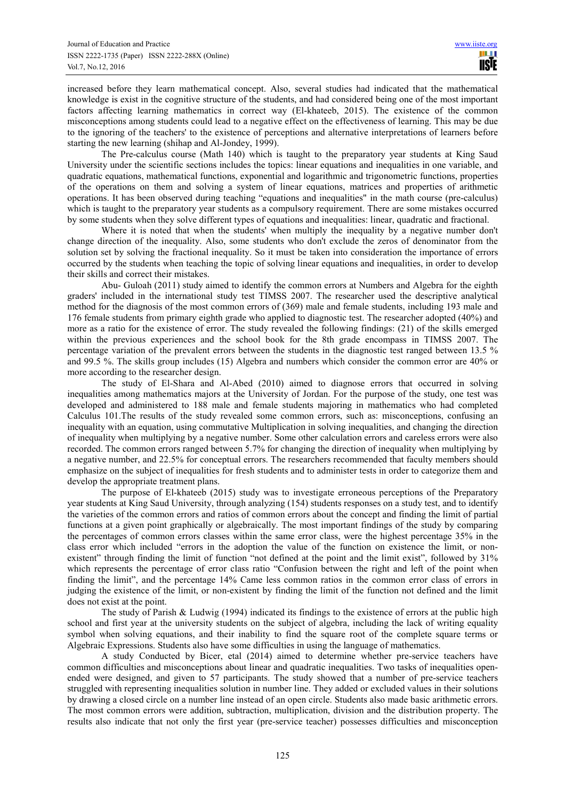increased before they learn mathematical concept. Also, several studies had indicated that the mathematical knowledge is exist in the cognitive structure of the students, and had considered being one of the most important factors affecting learning mathematics in correct way (El-khateeb, 2015). The existence of the common misconceptions among students could lead to a negative effect on the effectiveness of learning. This may be due to the ignoring of the teachers' to the existence of perceptions and alternative interpretations of learners before starting the new learning (shihap and Al-Jondey, 1999).

The Pre-calculus course (Math 140) which is taught to the preparatory year students at King Saud University under the scientific sections includes the topics: linear equations and inequalities in one variable, and quadratic equations, mathematical functions, exponential and logarithmic and trigonometric functions, properties of the operations on them and solving a system of linear equations, matrices and properties of arithmetic operations. It has been observed during teaching "equations and inequalities" in the math course (pre-calculus) which is taught to the preparatory year students as a compulsory requirement. There are some mistakes occurred by some students when they solve different types of equations and inequalities: linear, quadratic and fractional.

Where it is noted that when the students' when multiply the inequality by a negative number don't change direction of the inequality. Also, some students who don't exclude the zeros of denominator from the solution set by solving the fractional inequality. So it must be taken into consideration the importance of errors occurred by the students when teaching the topic of solving linear equations and inequalities, in order to develop their skills and correct their mistakes.

Abu- Guloah (2011) study aimed to identify the common errors at Numbers and Algebra for the eighth graders' included in the international study test TIMSS 2007. The researcher used the descriptive analytical method for the diagnosis of the most common errors of (369) male and female students, including 193 male and 176 female students from primary eighth grade who applied to diagnostic test. The researcher adopted (40%) and more as a ratio for the existence of error. The study revealed the following findings: (21) of the skills emerged within the previous experiences and the school book for the 8th grade encompass in TIMSS 2007. The percentage variation of the prevalent errors between the students in the diagnostic test ranged between 13.5 % and 99.5 %. The skills group includes (15) Algebra and numbers which consider the common error are 40% or more according to the researcher design.

The study of El-Shara and Al-Abed (2010) aimed to diagnose errors that occurred in solving inequalities among mathematics majors at the University of Jordan. For the purpose of the study, one test was developed and administered to 188 male and female students majoring in mathematics who had completed Calculus 101.The results of the study revealed some common errors, such as: misconceptions, confusing an inequality with an equation, using commutative Multiplication in solving inequalities, and changing the direction of inequality when multiplying by a negative number. Some other calculation errors and careless errors were also recorded. The common errors ranged between 5.7% for changing the direction of inequality when multiplying by a negative number, and 22.5% for conceptual errors. The researchers recommended that faculty members should emphasize on the subject of inequalities for fresh students and to administer tests in order to categorize them and develop the appropriate treatment plans.

The purpose of El-khateeb (2015) study was to investigate erroneous perceptions of the Preparatory year students at King Saud University, through analyzing (154) students responses on a study test, and to identify the varieties of the common errors and ratios of common errors about the concept and finding the limit of partial functions at a given point graphically or algebraically. The most important findings of the study by comparing the percentages of common errors classes within the same error class, were the highest percentage 35% in the class error which included "errors in the adoption the value of the function on existence the limit, or nonexistent" through finding the limit of function "not defined at the point and the limit exist", followed by 31% which represents the percentage of error class ratio "Confusion between the right and left of the point when finding the limit", and the percentage 14% Came less common ratios in the common error class of errors in judging the existence of the limit, or non-existent by finding the limit of the function not defined and the limit does not exist at the point.

The study of Parish & Ludwig (1994) indicated its findings to the existence of errors at the public high school and first year at the university students on the subject of algebra, including the lack of writing equality symbol when solving equations, and their inability to find the square root of the complete square terms or Algebraic Expressions. Students also have some difficulties in using the language of mathematics.

A study Conducted by Bicer, etal (2014) aimed to determine whether pre-service teachers have common difficulties and misconceptions about linear and quadratic inequalities. Two tasks of inequalities openended were designed, and given to 57 participants. The study showed that a number of pre-service teachers struggled with representing inequalities solution in number line. They added or excluded values in their solutions by drawing a closed circle on a number line instead of an open circle. Students also made basic arithmetic errors. The most common errors were addition, subtraction, multiplication, division and the distribution property. The results also indicate that not only the first year (pre-service teacher) possesses difficulties and misconception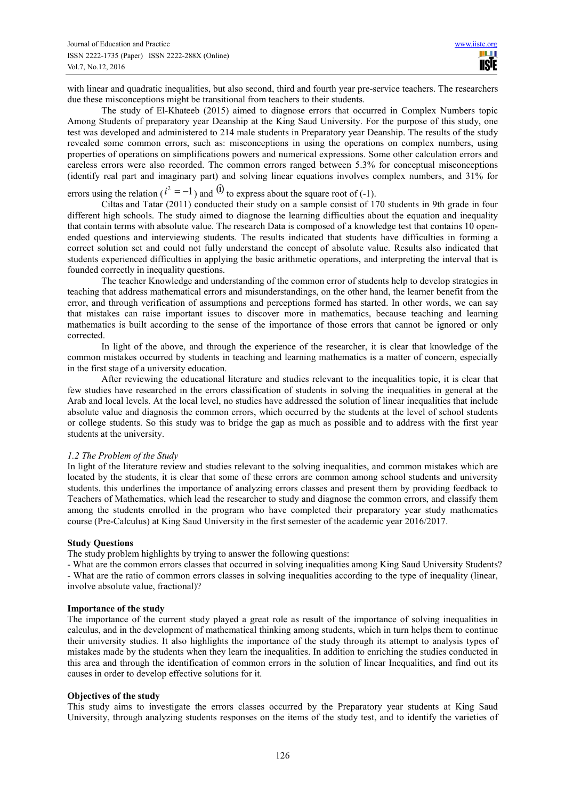with linear and quadratic inequalities, but also second, third and fourth year pre-service teachers. The researchers due these misconceptions might be transitional from teachers to their students.

The study of El-Khateeb (2015) aimed to diagnose errors that occurred in Complex Numbers topic Among Students of preparatory year Deanship at the King Saud University. For the purpose of this study, one test was developed and administered to 214 male students in Preparatory year Deanship. The results of the study revealed some common errors, such as: misconceptions in using the operations on complex numbers, using properties of operations on simplifications powers and numerical expressions. Some other calculation errors and careless errors were also recorded. The common errors ranged between 5.3% for conceptual misconceptions (identify real part and imaginary part) and solving linear equations involves complex numbers, and 31% for

errors using the relation ( $i^2 = -1$ ) and <sup>(i)</sup> to express about the square root of (-1).

Ciltas and Tatar (2011) conducted their study on a sample consist of 170 students in 9th grade in four different high schools. The study aimed to diagnose the learning difficulties about the equation and inequality that contain terms with absolute value. The research Data is composed of a knowledge test that contains 10 openended questions and interviewing students. The results indicated that students have difficulties in forming a correct solution set and could not fully understand the concept of absolute value. Results also indicated that students experienced difficulties in applying the basic arithmetic operations, and interpreting the interval that is founded correctly in inequality questions.

The teacher Knowledge and understanding of the common error of students help to develop strategies in teaching that address mathematical errors and misunderstandings, on the other hand, the learner benefit from the error, and through verification of assumptions and perceptions formed has started. In other words, we can say that mistakes can raise important issues to discover more in mathematics, because teaching and learning mathematics is built according to the sense of the importance of those errors that cannot be ignored or only corrected.

In light of the above, and through the experience of the researcher, it is clear that knowledge of the common mistakes occurred by students in teaching and learning mathematics is a matter of concern, especially in the first stage of a university education.

After reviewing the educational literature and studies relevant to the inequalities topic, it is clear that few studies have researched in the errors classification of students in solving the inequalities in general at the Arab and local levels. At the local level, no studies have addressed the solution of linear inequalities that include absolute value and diagnosis the common errors, which occurred by the students at the level of school students or college students. So this study was to bridge the gap as much as possible and to address with the first year students at the university.

#### *1.2 The Problem of the Study*

In light of the literature review and studies relevant to the solving inequalities, and common mistakes which are located by the students, it is clear that some of these errors are common among school students and university students. this underlines the importance of analyzing errors classes and present them by providing feedback to Teachers of Mathematics, which lead the researcher to study and diagnose the common errors, and classify them among the students enrolled in the program who have completed their preparatory year study mathematics course (Pre-Calculus) at King Saud University in the first semester of the academic year 2016/2017.

#### **Study Questions**

The study problem highlights by trying to answer the following questions:

- What are the common errors classes that occurred in solving inequalities among King Saud University Students?

- What are the ratio of common errors classes in solving inequalities according to the type of inequality (linear, involve absolute value, fractional)?

#### **Importance of the study**

The importance of the current study played a great role as result of the importance of solving inequalities in calculus, and in the development of mathematical thinking among students, which in turn helps them to continue their university studies. It also highlights the importance of the study through its attempt to analysis types of mistakes made by the students when they learn the inequalities. In addition to enriching the studies conducted in this area and through the identification of common errors in the solution of linear Inequalities, and find out its causes in order to develop effective solutions for it.

## **Objectives of the study**

This study aims to investigate the errors classes occurred by the Preparatory year students at King Saud University, through analyzing students responses on the items of the study test, and to identify the varieties of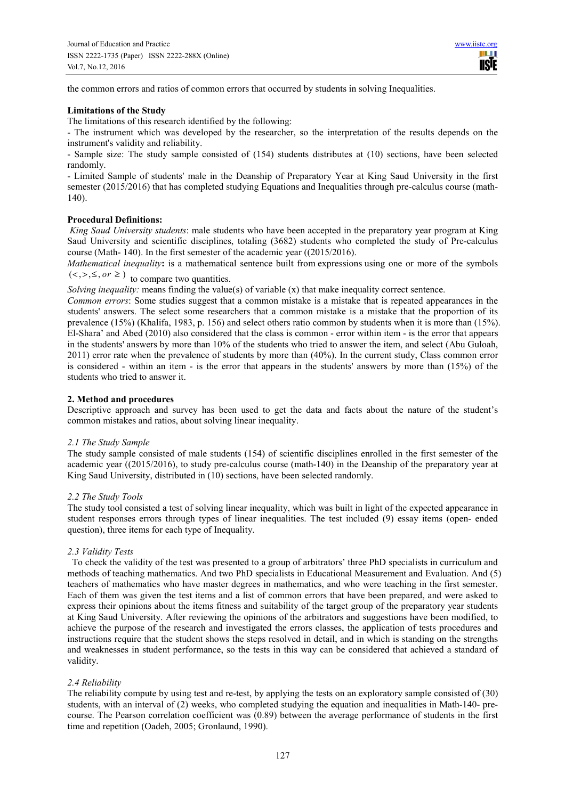the common errors and ratios of common errors that occurred by students in solving Inequalities.

#### **Limitations of the Study**

The limitations of this research identified by the following:

- The instrument which was developed by the researcher, so the interpretation of the results depends on the instrument's validity and reliability.

- Sample size: The study sample consisted of (154) students distributes at (10) sections, have been selected randomly.

- Limited Sample of students' male in the Deanship of Preparatory Year at King Saud University in the first semester (2015/2016) that has completed studying Equations and Inequalities through pre-calculus course (math-140).

## **Procedural Definitions:**

*King Saud University students*: male students who have been accepted in the preparatory year program at King Saud University and scientific disciplines, totaling (3682) students who completed the study of Pre-calculus course (Math- 140). In the first semester of the academic year ((2015/2016).

*Mathematical inequality***:** is a mathematical sentence built from expressions using one or more of the symbols  $(<,>, \le, or \ge)$  to compare two quantities.

*Solving inequality:* means finding the value(s) of variable (x) that make inequality correct sentence.

*Common errors*: Some studies suggest that a common mistake is a mistake that is repeated appearances in the students' answers. The select some researchers that a common mistake is a mistake that the proportion of its prevalence (15%) (Khalifa, 1983, p. 156) and select others ratio common by students when it is more than (15%). El-Shara' and Abed (2010) also considered that the class is common - error within item - is the error that appears in the students' answers by more than 10% of the students who tried to answer the item, and select (Abu Guloah, 2011) error rate when the prevalence of students by more than (40%). In the current study, Class common error is considered - within an item - is the error that appears in the students' answers by more than (15%) of the students who tried to answer it.

## **2. Method and procedures**

Descriptive approach and survey has been used to get the data and facts about the nature of the student's common mistakes and ratios, about solving linear inequality.

#### *2.1 The Study Sample*

The study sample consisted of male students (154) of scientific disciplines enrolled in the first semester of the academic year ((2015/2016), to study pre-calculus course (math-140) in the Deanship of the preparatory year at King Saud University, distributed in (10) sections, have been selected randomly.

## *2.2 The Study Tools*

The study tool consisted a test of solving linear inequality, which was built in light of the expected appearance in student responses errors through types of linear inequalities. The test included (9) essay items (open- ended question), three items for each type of Inequality.

## *2.3 Validity Tests*

To check the validity of the test was presented to a group of arbitrators' three PhD specialists in curriculum and methods of teaching mathematics. And two PhD specialists in Educational Measurement and Evaluation. And (5) teachers of mathematics who have master degrees in mathematics, and who were teaching in the first semester. Each of them was given the test items and a list of common errors that have been prepared, and were asked to express their opinions about the items fitness and suitability of the target group of the preparatory year students at King Saud University. After reviewing the opinions of the arbitrators and suggestions have been modified, to achieve the purpose of the research and investigated the errors classes, the application of tests procedures and instructions require that the student shows the steps resolved in detail, and in which is standing on the strengths and weaknesses in student performance, so the tests in this way can be considered that achieved a standard of validity.

## *2.4 Reliability*

The reliability compute by using test and re-test, by applying the tests on an exploratory sample consisted of (30) students, with an interval of (2) weeks, who completed studying the equation and inequalities in Math-140- precourse. The Pearson correlation coefficient was (0.89) between the average performance of students in the first time and repetition (Oadeh, 2005; Gronlaund, 1990).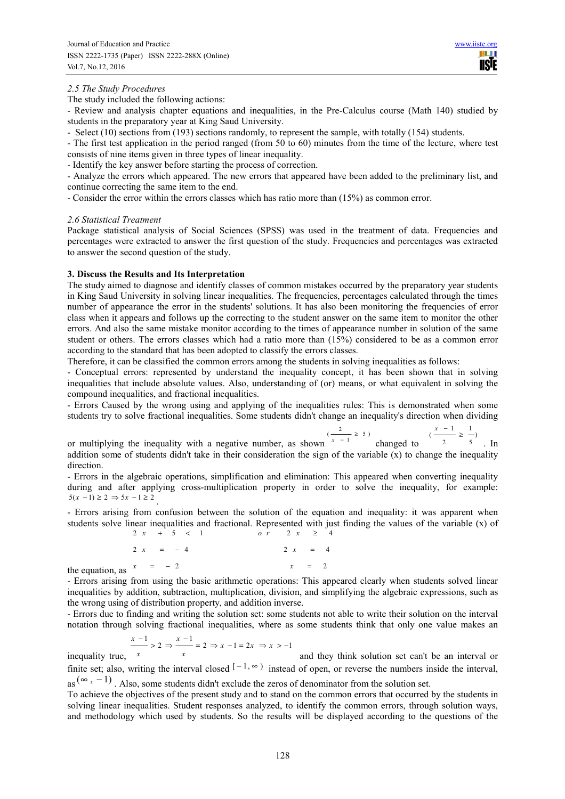$\frac{x-1}{2}$ 

#### *2.5 The Study Procedures*

The study included the following actions:

- Review and analysis chapter equations and inequalities, in the Pre-Calculus course (Math 140) studied by students in the preparatory year at King Saud University.

- Select (10) sections from (193) sections randomly, to represent the sample, with totally (154) students.

- The first test application in the period ranged (from 50 to 60) minutes from the time of the lecture, where test consists of nine items given in three types of linear inequality.

- Identify the key answer before starting the process of correction.

- Analyze the errors which appeared. The new errors that appeared have been added to the preliminary list, and continue correcting the same item to the end.

- Consider the error within the errors classes which has ratio more than (15%) as common error.

#### *2.6 Statistical Treatment*

Package statistical analysis of Social Sciences (SPSS) was used in the treatment of data. Frequencies and percentages were extracted to answer the first question of the study. Frequencies and percentages was extracted to answer the second question of the study.

## **3. Discuss the Results and Its Interpretation**

The study aimed to diagnose and identify classes of common mistakes occurred by the preparatory year students in King Saud University in solving linear inequalities. The frequencies, percentages calculated through the times number of appearance the error in the students' solutions. It has also been monitoring the frequencies of error class when it appears and follows up the correcting to the student answer on the same item to monitor the other errors. And also the same mistake monitor according to the times of appearance number in solution of the same student or others. The errors classes which had a ratio more than (15%) considered to be as a common error according to the standard that has been adopted to classify the errors classes.

Therefore, it can be classified the common errors among the students in solving inequalities as follows:

- Conceptual errors: represented by understand the inequality concept, it has been shown that in solving inequalities that include absolute values. Also, understanding of (or) means, or what equivalent in solving the compound inequalities, and fractional inequalities.

- Errors Caused by the wrong using and applying of the inequalities rules: This is demonstrated when some students try to solve fractional inequalities. Some students didn't change an inequality's direction when dividing

or multiplying the inequality with a negative number, as shown  $\left(\frac{2}{x-1} \geq 5\right)$  changed to  $\frac{x-1}{2} \geq \frac{1}{x-1}$ 2 5 . In addition some of students didn't take in their consideration the sign of the variable  $(x)$  to change the inequality direction.

- Errors in the algebraic operations, simplification and elimination: This appeared when converting inequality during and after applying cross-multiplication property in order to solve the inequality, for example:  $5(x-1) \geq 2 \Rightarrow 5x - 1 \geq 2$ .

- Errors arising from confusion between the solution of the equation and inequality: it was apparent when students solve linear inequalities and fractional. Represented with just finding the values of the variable (x) of  $\frac{2x+5}{} < 1$  $2 x + 5 < 1$  or  $2 x \ge 4$ 

the equation, as  $\begin{array}{ccc} x & = & -2 \\ x & = & \end{array}$  $2 x = -4$   $2 x = 4$ 2  $x = 2$ 

- Errors arising from using the basic arithmetic operations: This appeared clearly when students solved linear inequalities by addition, subtraction, multiplication, division, and simplifying the algebraic expressions, such as the wrong using of distribution property, and addition inverse.

- Errors due to finding and writing the solution set: some students not able to write their solution on the interval notation through solving fractional inequalities, where as some students think that only one value makes an

$$
\frac{x-1}{x} > 2 \Rightarrow \frac{x-1}{x} = 2 \Rightarrow x - 1 = 2x \Rightarrow x > -1
$$

inequality true, *x x* and they think solution set can't be an interval or finite set; also, writing the interval closed  $[-1, \infty)$  instead of open, or reverse the numbers inside the interval,

as  $(\infty, -1)$ . Also, some students didn't exclude the zeros of denominator from the solution set.

To achieve the objectives of the present study and to stand on the common errors that occurred by the students in solving linear inequalities. Student responses analyzed, to identify the common errors, through solution ways, and methodology which used by students. So the results will be displayed according to the questions of the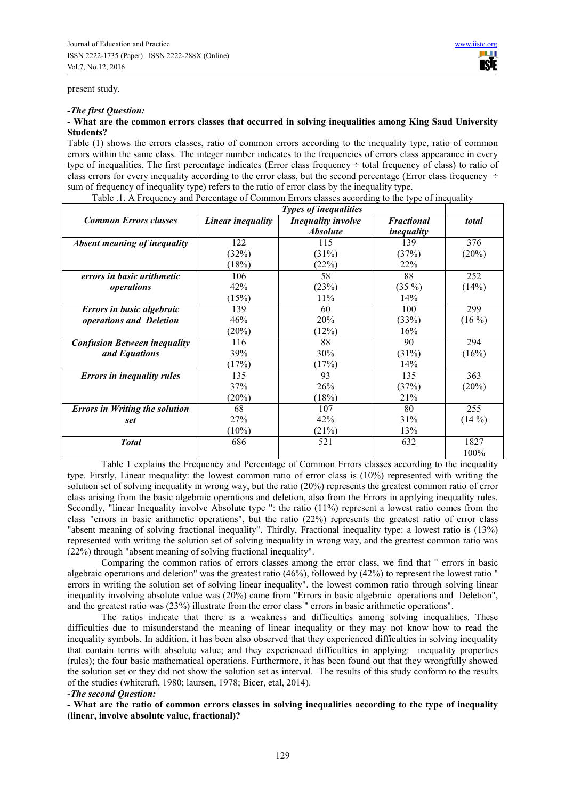#### present study.

#### *-The first Question:*

## **- What are the common errors classes that occurred in solving inequalities among King Saud University Students?**

Table (1) shows the errors classes, ratio of common errors according to the inequality type, ratio of common errors within the same class. The integer number indicates to the frequencies of errors class appearance in every type of inequalities. The first percentage indicates (Error class frequency ÷ total frequency of class) to ratio of class errors for every inequality according to the error class, but the second percentage (Error class frequency  $\div$ sum of frequency of inequality type) refers to the ratio of error class by the inequality type.

| <b>Common Errors classes</b>          | Linear inequality | <b>Inequality involve</b> | <b>Fractional</b> | total    |
|---------------------------------------|-------------------|---------------------------|-------------------|----------|
|                                       |                   | <b>Absolute</b>           | inequality        |          |
| <b>Absent meaning of inequality</b>   | 122               | 115                       | 139               | 376      |
|                                       | (32%)             | (31%)                     | (37%)             | (20%)    |
|                                       | (18%)             | (22%)                     | 22%               |          |
| errors in basic arithmetic            | 106               | 58                        | 88                | 252      |
| operations                            | 42%               | (23%)                     | $(35\%)$          | (14%)    |
|                                       | (15%)             | 11%                       | 14%               |          |
| Errors in basic algebraic             | 139               | 60                        | 100               | 299      |
| operations and Deletion               | 46%               | 20%                       | (33%)             | $(16\%)$ |
|                                       | (20%)             | (12%)                     | 16%               |          |
| <b>Confusion Between inequality</b>   | 116               | 88                        | 90                | 294      |
| and Equations                         | 39%               | 30%                       | (31%)             | (16%)    |
|                                       | (17%)             | (17%)                     | 14%               |          |
| <b>Errors in inequality rules</b>     | 135               | 93                        | 135               | 363      |
|                                       | 37%               | 26%                       | (37%)             | $(20\%)$ |
|                                       | (20%)             | (18%)                     | 21%               |          |
| <b>Errors in Writing the solution</b> | 68                | 107                       | 80                | 255      |
| set                                   | 27%               | 42%                       | 31%               | $(14\%)$ |
|                                       | $(10\%)$          | (21%)                     | 13%               |          |
| <b>Total</b>                          | 686               | 521                       | 632               | 1827     |
|                                       |                   |                           |                   | 100%     |

Table .1. A Frequency and Percentage of Common Errors classes according to the type of inequality

Table 1 explains the Frequency and Percentage of Common Errors classes according to the inequality type. Firstly, Linear inequality: the lowest common ratio of error class is (10%) represented with writing the solution set of solving inequality in wrong way, but the ratio (20%) represents the greatest common ratio of error class arising from the basic algebraic operations and deletion, also from the Errors in applying inequality rules. Secondly, "linear Inequality involve Absolute type ": the ratio (11%) represent a lowest ratio comes from the class "errors in basic arithmetic operations", but the ratio (22%) represents the greatest ratio of error class "absent meaning of solving fractional inequality". Thirdly, Fractional inequality type: a lowest ratio is (13%) represented with writing the solution set of solving inequality in wrong way, and the greatest common ratio was (22%) through "absent meaning of solving fractional inequality".

Comparing the common ratios of errors classes among the error class, we find that " errors in basic algebraic operations and deletion" was the greatest ratio (46%), followed by (42%) to represent the lowest ratio " errors in writing the solution set of solving linear inequality". the lowest common ratio through solving linear inequality involving absolute value was (20%) came from "Errors in basic algebraic operations and Deletion", and the greatest ratio was (23%) illustrate from the error class " errors in basic arithmetic operations".

The ratios indicate that there is a weakness and difficulties among solving inequalities. These difficulties due to misunderstand the meaning of linear inequality or they may not know how to read the inequality symbols. In addition, it has been also observed that they experienced difficulties in solving inequality that contain terms with absolute value; and they experienced difficulties in applying: inequality properties (rules); the four basic mathematical operations. Furthermore, it has been found out that they wrongfully showed the solution set or they did not show the solution set as interval. The results of this study conform to the results of the studies (whitcraft, 1980; laursen, 1978; Bicer, etal, 2014).

## *-The second Question:*

*-* **What are the ratio of common errors classes in solving inequalities according to the type of inequality (linear, involve absolute value, fractional)?**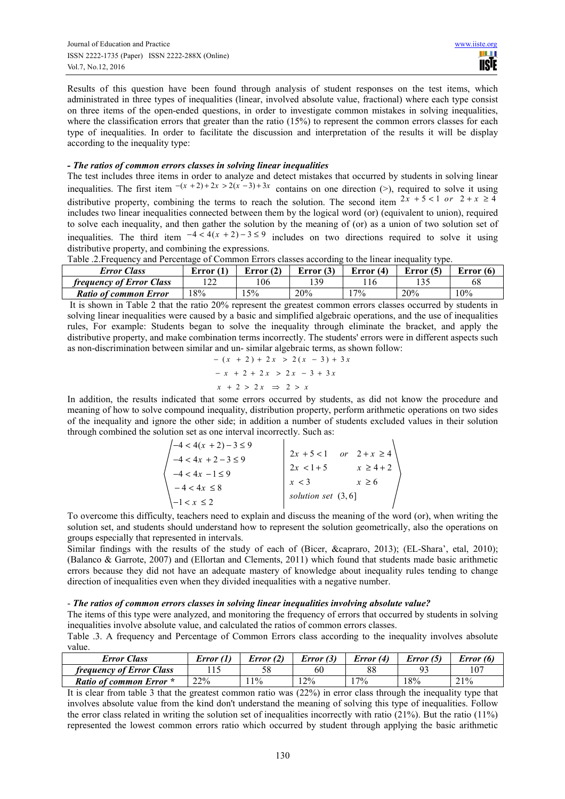Results of this question have been found through analysis of student responses on the test items, which administrated in three types of inequalities (linear, involved absolute value, fractional) where each type consist on three items of the open-ended questions, in order to investigate common mistakes in solving inequalities, where the classification errors that greater than the ratio (15%) to represent the common errors classes for each type of inequalities. In order to facilitate the discussion and interpretation of the results it will be display according to the inequality type:

## *- The ratios of common errors classes in solving linear inequalities*

The test includes three items in order to analyze and detect mistakes that occurred by students in solving linear inequalities. The first item  $-(x+2)+2x > 2(x-3)+3x$  contains on one direction (>), required to solve it using distributive property, combining the terms to reach the solution. The second item  $2x + 5 < 1$  or  $2 + x \ge 4$ includes two linear inequalities connected between them by the logical word (or) (equivalent to union), required to solve each inequality, and then gather the solution by the meaning of (or) as a union of two solution set of inequalities. The third item  $-4 < 4(x + 2) - 3 \le 9$  includes on two directions required to solve it using distributive property, and combining the expressions.<br>Toble 2 Frequency and Barontoga of Common France classes assorting to the linear inequality time

| Table .2. Frequency and Ferentiage of Common Errors classes according to the mical inequality type. |             |             |             |           |             |             |  |
|-----------------------------------------------------------------------------------------------------|-------------|-------------|-------------|-----------|-------------|-------------|--|
| <b>Error Class</b>                                                                                  | Error $(1)$ | Error $(2)$ | Error $(3)$ | Error (4) | Error $(5)$ | Error $(6)$ |  |
| <i>frequency of Error Class</i>                                                                     | 122         | 106         | 139         |           |             | 68          |  |
| <b>Ratio of common Error</b>                                                                        | 18%         | 5%          | 20%         | 17%       | 20%         | 10%         |  |

Table .2.Frequency and Percentage of Common Errors classes according to the linear inequality type.

 It is shown in Table 2 that the ratio 20% represent the greatest common errors classes occurred by students in solving linear inequalities were caused by a basic and simplified algebraic operations, and the use of inequalities rules, For example: Students began to solve the inequality through eliminate the bracket, and apply the distributive property, and make combination terms incorrectly. The students' errors were in different aspects such as non-discrimination between similar and un- similar algebraic terms, as shown follow:

$$
-(x + 2) + 2x > 2(x - 3) + 3x
$$
  

$$
-x + 2 + 2x > 2x - 3 + 3x
$$

$$
x + 2 > 2x \Rightarrow 2 > x
$$

In addition, the results indicated that some errors occurred by students, as did not know the procedure and meaning of how to solve compound inequality, distribution property, perform arithmetic operations on two sides of the inequality and ignore the other side; in addition a number of students excluded values in their solution through combined the solution set as one interval incorrectly. Such as:

| $-4 < 4(x + 2) - 3 \le 9$ |                      |                |
|---------------------------|----------------------|----------------|
| $-4 < 4x + 2 - 3 \le 9$   | $2x + 5 < 1$         | or $2+x \ge 4$ |
| $-4 < 4x - 1 \le 9$       | $2x < 1+5$           | $x \geq 4+2$   |
|                           | x < 3                | $x \geq 6$     |
| $-4 < 4x \leq 8$          | solution set $(3,6)$ |                |
| $-1 < x \leq 2$           |                      |                |

To overcome this difficulty, teachers need to explain and discuss the meaning of the word (or), when writing the solution set, and students should understand how to represent the solution geometrically, also the operations on groups especially that represented in intervals.

Similar findings with the results of the study of each of (Bicer, &capraro, 2013); (EL-Shara', etal, 2010); (Balanco & Garrote, 2007) and (Ellortan and Clements, 2011) which found that students made basic arithmetic errors because they did not have an adequate mastery of knowledge about inequality rules tending to change direction of inequalities even when they divided inequalities with a negative number.

## - *The ratios of common errors classes in solving linear inequalities involving absolute value?*

The items of this type were analyzed, and monitoring the frequency of errors that occurred by students in solving inequalities involve absolute value, and calculated the ratios of common errors classes.

Table .3. A frequency and Percentage of Common Errors class according to the inequality involves absolute value.

| <b>Error Class</b>              | Error (1) | Error (2) | Error(3) | Error (4) | Error (5) | Error (6) |
|---------------------------------|-----------|-----------|----------|-----------|-----------|-----------|
| <i>frequency of Error Class</i> |           |           | 60       | 88        |           | 107       |
| <b>Ratio of common Error</b> *  | 22%       | 11%       | $2\%$    | $7\%$     | 18%       | 21%       |

It is clear from table 3 that the greatest common ratio was (22%) in error class through the inequality type that involves absolute value from the kind don't understand the meaning of solving this type of inequalities. Follow the error class related in writing the solution set of inequalities incorrectly with ratio  $(21\%)$ . But the ratio  $(11\%)$ represented the lowest common errors ratio which occurred by student through applying the basic arithmetic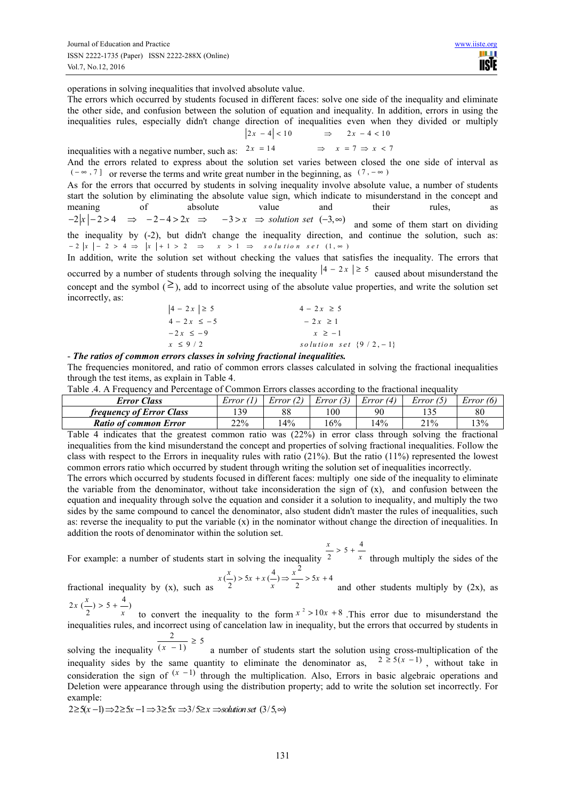operations in solving inequalities that involved absolute value.

The errors which occurred by students focused in different faces: solve one side of the inequality and eliminate the other side, and confusion between the solution of equation and inequality. In addition, errors in using the inequalities rules, especially didn't change direction of inequalities even when they divided or multiply

$$
\begin{aligned}\n\left|2x - 4\right| < 10 & \Rightarrow & 2x - 4 < 10 \\
2x & = 14 & \Rightarrow & x & = 7 \Rightarrow x < 7\n\end{aligned}
$$

inequalities with a negative number, such as:  $2x = 14$ And the errors related to express about the solution set varies between closed the one side of interval as  $(-\infty, 7]$  or reverse the terms and write great number in the beginning, as  $(7, -\infty)$ 

As for the errors that occurred by students in solving inequality involve absolute value, a number of students start the solution by eliminating the absolute value sign, which indicate to misunderstand in the concept and meaning of absolute value and their rules, as  $-2|x| - 2 > 4 \implies -2 - 4 > 2x \implies -3 > x \implies$  solution set  $(-3, \infty)$  and some of them start on dividing the inequality by (-2), but didn't change the inequality direction, and continue the solution, such as:  $-2|x| - 2 > 4 \Rightarrow |x| + 1 > 2 \Rightarrow x > 1 \Rightarrow$  solution set  $(1, \infty)$ 

In addition, write the solution set without checking the values that satisfies the inequality. The errors that occurred by a number of students through solving the inequality  $|4 - 2x| \ge 5$  caused about misunderstand the concept and the symbol  $( \geq )$ , add to incorrect using of the absolute value properties, and write the solution set incorrectly, as:

| $ 4 - 2x  \ge 5$ | $4 - 2x \ge 5$             |
|------------------|----------------------------|
| $4 - 2x \le -5$  | $-2x \ge 1$                |
| $-2x \le -9$     | $x \geq -1$                |
| $x \leq 9/2$     | solution set $\{9/2, -1\}$ |

- *The ratios of common errors classes in solving fractional inequalities.*

The frequencies monitored, and ratio of common errors classes calculated in solving the fractional inequalities through the test items, as explain in Table 4.

|  | Table .4. A Frequency and Percentage of Common Errors classes according to the fractional inequality |  |
|--|------------------------------------------------------------------------------------------------------|--|
|  |                                                                                                      |  |

| Error Class                     | Error (* | Error (2) | Error (3) | Error (4) | Error(3)   | Error (6) |
|---------------------------------|----------|-----------|-----------|-----------|------------|-----------|
| <i>frequency of Error Class</i> | 139      | 88        | 100       | 90        | $1 \cap L$ | 80        |
| <b>Ratio of common Error</b>    | 22%      | 14%       | 6%        | $4\%$     | 21%        | 13%       |

Table 4 indicates that the greatest common ratio was (22%) in error class through solving the fractional inequalities from the kind misunderstand the concept and properties of solving fractional inequalities. Follow the class with respect to the Errors in inequality rules with ratio (21%). But the ratio (11%) represented the lowest common errors ratio which occurred by student through writing the solution set of inequalities incorrectly.

The errors which occurred by students focused in different faces: multiply one side of the inequality to eliminate the variable from the denominator, without take inconsideration the sign of  $(x)$ , and confusion between the equation and inequality through solve the equation and consider it a solution to inequality, and multiply the two sides by the same compound to cancel the denominator, also student didn't master the rules of inequalities, such as: reverse the inequality to put the variable  $(x)$  in the nominator without change the direction of inequalities. In addition the roots of denominator within the solution set.

$$
\frac{x}{-} > 5 + \frac{4}{-}
$$

For example: a number of students start in solving the inequality <sup>2</sup> *x* through multiply the sides of the 2

$$
x\left(\frac{x}{2}\right) > 5x + x\left(\frac{4}{x}\right) \Rightarrow \frac{x^2}{2} > 5x + 4
$$

fractional inequality by  $(x)$ , such as 2  $x^2$  2 *x* and other students multiply by  $(2x)$ , as  $2x\left(\frac{x}{2}\right) > 5 + \frac{4}{x}$  $x\left(\frac{x}{2}\right) > 5 + \frac{4}{x}$  $> 5 +$ 

to convert the inequality to the form  $x^2 > 10x + 8$ . This error due to misunderstand the inequalities rules, and incorrect using of cancelation law in inequality, but the errors that occurred by students in  $\frac{2}{(x-1)} \ge 5$ ≥

solving the inequality a number of students start the solution using cross-multiplication of the inequality sides by the same quantity to eliminate the denominator as,  $2 \ge 5(x - 1)$ , without take in consideration the sign of  $(x - 1)$  through the multiplication. Also, Errors in basic algebraic operations and Deletion were appearance through using the distribution property; add to write the solution set incorrectly. For example:

$$
2 \ge 5(x-1) \Rightarrow 2 \ge 5x - 1 \Rightarrow 3 \ge 5x \Rightarrow 3/5 \ge x \Rightarrow solution set (3/5, \infty)
$$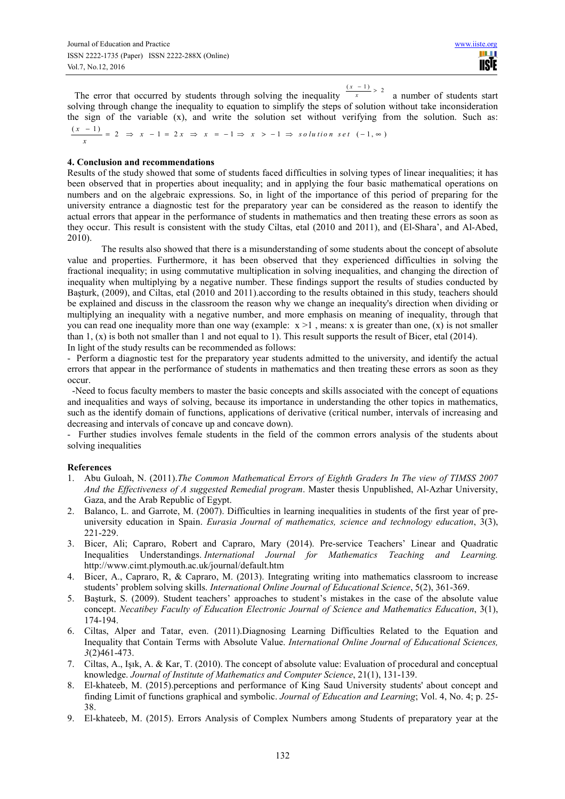The error that occurred by students through solving the inequality  $\frac{(x - 1)}{x} > 2$ *x x* − > a number of students start solving through change the inequality to equation to simplify the steps of solution without take inconsideration the sign of the variable (x), and write the solution set without verifying from the solution. Such as:  $\frac{(x-1)}{x} = 2 \Rightarrow x - 1 = 2x \Rightarrow x = -1 \Rightarrow x > -1 \Rightarrow$  solution set  $(-1, \infty)$  $\frac{-1}{-1}$  = 2  $\Rightarrow$  x - 1 = 2x  $\Rightarrow$  x = -1  $\Rightarrow$  x > -1  $\Rightarrow$  solution set (-1.  $\infty$ 

#### **4. Conclusion and recommendations**

Results of the study showed that some of students faced difficulties in solving types of linear inequalities; it has been observed that in properties about inequality; and in applying the four basic mathematical operations on numbers and on the algebraic expressions. So, in light of the importance of this period of preparing for the university entrance a diagnostic test for the preparatory year can be considered as the reason to identify the actual errors that appear in the performance of students in mathematics and then treating these errors as soon as they occur. This result is consistent with the study Ciltas, etal (2010 and 2011), and (El-Shara', and Al-Abed, 2010).

The results also showed that there is a misunderstanding of some students about the concept of absolute value and properties. Furthermore, it has been observed that they experienced difficulties in solving the fractional inequality; in using commutative multiplication in solving inequalities, and changing the direction of inequality when multiplying by a negative number. These findings support the results of studies conducted by Başturk, (2009), and Ciltas, etal (2010 and 2011).according to the results obtained in this study, teachers should be explained and discuss in the classroom the reason why we change an inequality's direction when dividing or multiplying an inequality with a negative number, and more emphasis on meaning of inequality, through that you can read one inequality more than one way (example:  $x > 1$ , means: x is greater than one, (x) is not smaller than 1,  $(x)$  is both not smaller than 1 and not equal to 1). This result supports the result of Bicer, etal (2014). In light of the study results can be recommended as follows:

- Perform a diagnostic test for the preparatory year students admitted to the university, and identify the actual errors that appear in the performance of students in mathematics and then treating these errors as soon as they occur.

 - Need to focus faculty members to master the basic concepts and skills associated with the concept of equations and inequalities and ways of solving, because its importance in understanding the other topics in mathematics, such as the identify domain of functions, applications of derivative (critical number, intervals of increasing and decreasing and intervals of concave up and concave down).

- Further studies involves female students in the field of the common errors analysis of the students about solving inequalities

#### **References**

- 1. Abu Guloah, N. (2011).*The Common Mathematical Errors of Eighth Graders In The view of TIMSS 2007 And the Effectiveness of A suggested Remedial program*. Master thesis Unpublished, Al-Azhar University, Gaza, and the Arab Republic of Egypt.
- 2. Balanco, L. and Garrote, M. (2007). Difficulties in learning inequalities in students of the first year of preuniversity education in Spain. *Eurasia Journal of mathematics, science and technology education*, 3(3), 221-229.
- 3. Bicer, Ali; Capraro, Robert and Capraro, Mary (2014). Pre-service Teachers' Linear and Quadratic Inequalities Understandings. *International Journal for Mathematics Teaching and Learning.* http://www.cimt.plymouth.ac.uk/journal/default.htm
- 4. Bicer, A., Capraro, R, & Capraro, M. (2013). Integrating writing into mathematics classroom to increase students' problem solving skills. *International Online Journal of Educational Science*, 5(2), 361-369.
- 5. Başturk, S. (2009). Student teachers' approaches to student's mistakes in the case of the absolute value concept. *Necatibey Faculty of Education Electronic Journal of Science and Mathematics Education*, 3(1), 174-194.
- 6. Ciltas, Alper and Tatar, even. (2011).Diagnosing Learning Difficulties Related to the Equation and Inequality that Contain Terms with Absolute Value. *International Online Journal of Educational Sciences, 3*(2)461-473.
- 7. Ciltas, A., Işık, A. & Kar, T. (2010). The concept of absolute value: Evaluation of procedural and conceptual knowledge. *Journal of Institute of Mathematics and Computer Science*, 21(1), 131-139.
- 8. El-khateeb, M. (2015).perceptions and performance of King Saud University students' about concept and finding Limit of functions graphical and symbolic. *Journal of Education and Learning*; Vol. 4, No. 4; p. 25- 38.
- 9. El-khateeb, M. (2015). Errors Analysis of Complex Numbers among Students of preparatory year at the